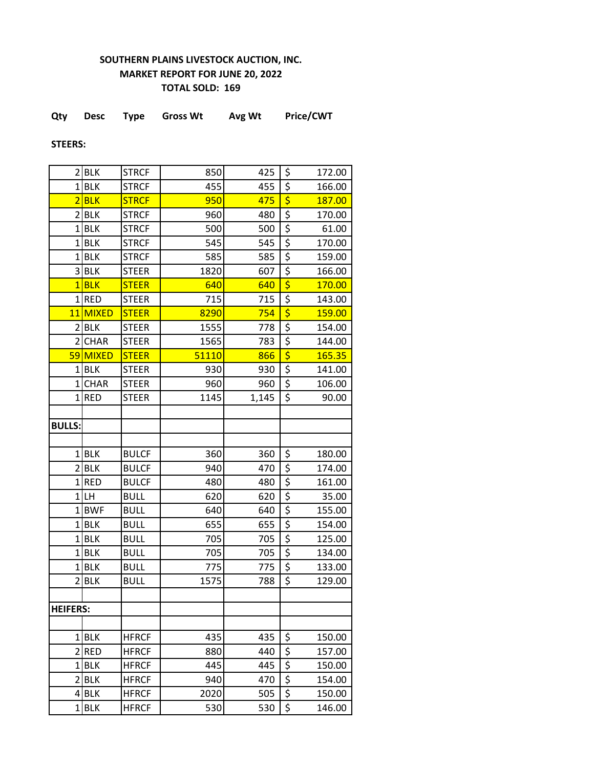## **SOUTHERN PLAINS LIVESTOCK AUCTION, INC. MARKET REPORT FOR JUNE 20, 2022 TOTAL SOLD: 169**

| Qty | <b>Desc</b> | Type | <b>Gross Wt</b> | Avg Wt | Price/CWT |
|-----|-------------|------|-----------------|--------|-----------|
|     |             |      |                 |        |           |

**STEERS:**

|                         | 2 BLK       | <b>STRCF</b> | 850   | 425   | \$                                  | 172.00 |
|-------------------------|-------------|--------------|-------|-------|-------------------------------------|--------|
|                         | $1$ BLK     | <b>STRCF</b> | 455   | 455   | \$                                  | 166.00 |
| $\overline{2}$          | <b>BLK</b>  | <b>STRCF</b> | 950   | 475   | $\overline{\boldsymbol{\varsigma}}$ | 187.00 |
|                         | $2$ $BLK$   | <b>STRCF</b> | 960   | 480   | \$                                  | 170.00 |
| $\mathbf{1}$            | <b>BLK</b>  | <b>STRCF</b> | 500   | 500   | \$                                  | 61.00  |
| $\mathbf{1}$            | <b>BLK</b>  | <b>STRCF</b> | 545   | 545   | \$                                  | 170.00 |
| $\mathbf{1}$            | <b>BLK</b>  | <b>STRCF</b> | 585   | 585   | \$                                  | 159.00 |
| $\overline{\mathbf{3}}$ | <b>BLK</b>  | <b>STEER</b> | 1820  | 607   | \$                                  | 166.00 |
|                         | $1$ BLK     | <b>STEER</b> | 640   | 640   | \$                                  | 170.00 |
|                         | $1$ RED     | <b>STEER</b> | 715   | 715   | \$                                  | 143.00 |
| 11                      | MIXED       | <b>STEER</b> | 8290  | 754   | $\overline{\boldsymbol{\varsigma}}$ | 159.00 |
| $\overline{2}$          | <b>BLK</b>  | <b>STEER</b> | 1555  | 778   | \$                                  | 154.00 |
|                         | 2 CHAR      | <b>STEER</b> | 1565  | 783   | \$                                  | 144.00 |
|                         | 59 MIXED    | <b>STEER</b> | 51110 | 866   | $\overline{\boldsymbol{\varsigma}}$ | 165.35 |
|                         | $1$ BLK     | <b>STEER</b> | 930   | 930   | \$                                  | 141.00 |
| 1 <sup>1</sup>          | <b>CHAR</b> | <b>STEER</b> | 960   | 960   | \$                                  | 106.00 |
| $\mathbf{1}$            | <b>RED</b>  | <b>STEER</b> | 1145  | 1,145 | $\overline{\mathsf{S}}$             | 90.00  |
|                         |             |              |       |       |                                     |        |
| <b>BULLS:</b>           |             |              |       |       |                                     |        |
|                         |             |              |       |       |                                     |        |
|                         | $1$ BLK     | <b>BULCF</b> | 360   | 360   | \$                                  | 180.00 |
|                         | $2$ BLK     | <b>BULCF</b> | 940   | 470   | \$                                  | 174.00 |
|                         | $1$ RED     | <b>BULCF</b> | 480   | 480   | \$                                  | 161.00 |
|                         | $1$ LH      | <b>BULL</b>  | 620   | 620   | \$                                  | 35.00  |
| 1 <sup>1</sup>          | <b>BWF</b>  | <b>BULL</b>  | 640   | 640   | \$                                  | 155.00 |
|                         | $1$ BLK     | <b>BULL</b>  | 655   | 655   | \$                                  | 154.00 |
|                         | 1BLK        | <b>BULL</b>  | 705   | 705   | \$                                  | 125.00 |
|                         | $1$ BLK     | <b>BULL</b>  | 705   | 705   | \$                                  | 134.00 |
| $\mathbf{1}$            | <b>BLK</b>  | <b>BULL</b>  | 775   | 775   | \$                                  | 133.00 |
| 2                       | <b>BLK</b>  | <b>BULL</b>  | 1575  | 788   | \$                                  | 129.00 |
|                         |             |              |       |       |                                     |        |
| <b>HEIFERS:</b>         |             |              |       |       |                                     |        |
|                         |             |              |       |       |                                     |        |
|                         | $1$ BLK     | <b>HFRCF</b> | 435   | 435   | \$                                  | 150.00 |
|                         | $2$ RED     | <b>HFRCF</b> | 880   | 440   | \$                                  | 157.00 |
|                         | $1$ BLK     | <b>HFRCF</b> | 445   | 445   | \$                                  | 150.00 |
|                         | $2$ $BLK$   | <b>HFRCF</b> | 940   | 470   | \$                                  | 154.00 |
|                         | 4BLK        | <b>HFRCF</b> | 2020  | 505   | \$                                  | 150.00 |
|                         | $1$ BLK     | <b>HFRCF</b> | 530   | 530   | \$                                  | 146.00 |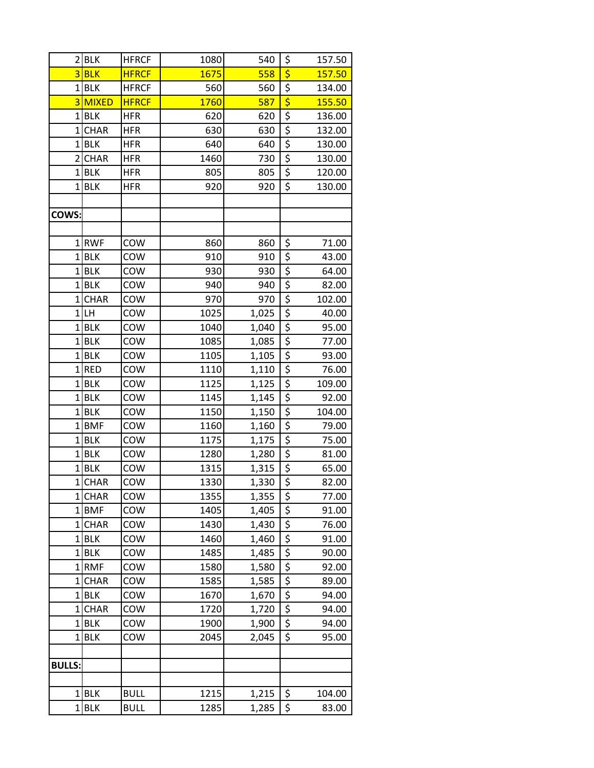| 2              | <b>BLK</b>  | <b>HFRCF</b> | 1080        | 540   | \$                              | 157.50 |
|----------------|-------------|--------------|-------------|-------|---------------------------------|--------|
|                | $3$ BLK     | <b>HFRCF</b> | <b>1675</b> | 558   | $\overline{\boldsymbol{\zeta}}$ | 157.50 |
| $\mathbf{1}$   | <b>BLK</b>  | <b>HFRCF</b> | 560         | 560   | \$                              | 134.00 |
|                | 3 MIXED     | <b>HFRCF</b> | 1760        | 587   | \$                              | 155.50 |
| $\mathbf{1}$   | <b>BLK</b>  | <b>HFR</b>   | 620         | 620   | $\overline{\xi}$                | 136.00 |
| $\mathbf{1}$   | CHAR        | <b>HFR</b>   | 630         | 630   | $\overline{\xi}$                | 132.00 |
| $\mathbf{1}$   | <b>BLK</b>  | <b>HFR</b>   | 640         | 640   | $\overline{\xi}$                | 130.00 |
| $\overline{2}$ | <b>CHAR</b> | <b>HFR</b>   | 1460        | 730   | $\overline{\xi}$                | 130.00 |
| $\mathbf 1$    | <b>BLK</b>  | <b>HFR</b>   | 805         | 805   | \$                              | 120.00 |
| $\mathbf 1$    | <b>BLK</b>  | <b>HFR</b>   | 920         | 920   | $\overline{\xi}$                | 130.00 |
|                |             |              |             |       |                                 |        |
| COWS:          |             |              |             |       |                                 |        |
|                |             |              |             |       |                                 |        |
|                | 1RWF        | COW          | 860         | 860   | \$                              | 71.00  |
| $\mathbf{1}$   | <b>BLK</b>  | COW          | 910         | 910   | $\overline{\xi}$                | 43.00  |
| $\mathbf{1}$   | <b>BLK</b>  | COW          | 930         | 930   | \$                              | 64.00  |
|                | $1$ BLK     | COW          | 940         | 940   | \$                              | 82.00  |
| $\mathbf{1}$   | <b>CHAR</b> | COW          | 970         | 970   | $\overline{\xi}$                | 102.00 |
| $\mathbf{1}$   | LH          | COW          | 1025        | 1,025 | $\overline{\xi}$                | 40.00  |
| 1              | <b>BLK</b>  | COW          | 1040        | 1,040 | $\overline{\xi}$                | 95.00  |
| $\mathbf{1}$   | <b>BLK</b>  | COW          | 1085        | 1,085 | \$                              | 77.00  |
| 1              | <b>BLK</b>  | COW          | 1105        | 1,105 | $\overline{\boldsymbol{\xi}}$   | 93.00  |
| $\mathbf{1}$   | <b>RED</b>  | COW          | 1110        | 1,110 | \$                              | 76.00  |
| $\mathbf{1}$   | <b>BLK</b>  | COW          | 1125        | 1,125 | $\overline{\xi}$                | 109.00 |
| 1              | <b>BLK</b>  | COW          | 1145        | 1,145 | \$                              | 92.00  |
| $\mathbf 1$    | <b>BLK</b>  | COW          | 1150        | 1,150 | $rac{5}{5}$                     | 104.00 |
| $\mathbf 1$    | <b>BMF</b>  | COW          | 1160        | 1,160 |                                 | 79.00  |
| $\mathbf{1}$   | <b>BLK</b>  | COW          | 1175        | 1,175 | $\overline{\xi}$                | 75.00  |
| $\overline{1}$ | <b>BLK</b>  | COW          | 1280        | 1,280 | $\overline{\xi}$                | 81.00  |
| 1              | <b>BLK</b>  | COW          | 1315        | 1,315 | $\overline{\xi}$                | 65.00  |
| $\mathbf{1}$   | <b>CHAR</b> | COW          | 1330        | 1,330 | \$                              | 82.00  |
| 1              | <b>CHAR</b> | COW          | 1355        | 1,355 | \$                              | 77.00  |
|                | 1BMF        | COW          | 1405        | 1,405 | $\overline{\xi}$                | 91.00  |
| 1              | <b>CHAR</b> | COW          | 1430        | 1,430 | \$                              | 76.00  |
| $\mathbf{1}$   | <b>BLK</b>  | COW          | 1460        | 1,460 | \$                              | 91.00  |
| $\mathbf 1$    | <b>BLK</b>  | COW          | 1485        | 1,485 | $\overline{\xi}$                | 90.00  |
| $\mathbf{1}$   | <b>RMF</b>  | COW          | 1580        | 1,580 | $\overline{\xi}$                | 92.00  |
| 1              | <b>CHAR</b> | COW          | 1585        | 1,585 | $\overline{\xi}$                | 89.00  |
| 1              | <b>BLK</b>  | COW          | 1670        | 1,670 | \$                              | 94.00  |
| 1              | <b>CHAR</b> | COW          | 1720        | 1,720 | \$                              | 94.00  |
| 1              | <b>BLK</b>  | COW          | 1900        | 1,900 | \$                              | 94.00  |
| $1\vert$       | <b>BLK</b>  | COW          | 2045        | 2,045 | \$                              | 95.00  |
|                |             |              |             |       |                                 |        |
| <b>BULLS:</b>  |             |              |             |       |                                 |        |
|                |             |              |             |       |                                 |        |
| 1              | <b>BLK</b>  | <b>BULL</b>  | 1215        | 1,215 | \$                              | 104.00 |
| 1              | <b>BLK</b>  | <b>BULL</b>  | 1285        | 1,285 | \$                              | 83.00  |